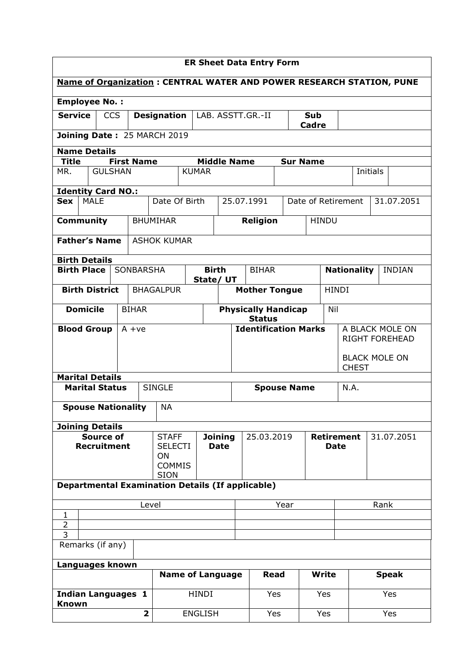| <b>ER Sheet Data Entry Form</b>                                             |              |                                |              |                               |                                                    |                 |              |                    |                                          |  |
|-----------------------------------------------------------------------------|--------------|--------------------------------|--------------|-------------------------------|----------------------------------------------------|-----------------|--------------|--------------------|------------------------------------------|--|
| <b>Name of Organization: CENTRAL WATER AND POWER RESEARCH STATION, PUNE</b> |              |                                |              |                               |                                                    |                 |              |                    |                                          |  |
| <b>Employee No.:</b>                                                        |              |                                |              |                               |                                                    |                 |              |                    |                                          |  |
| <b>Service</b><br><b>CCS</b>                                                |              | <b>Designation</b>             |              |                               | LAB. ASSTT.GR.-II<br><b>Sub</b><br><b>Cadre</b>    |                 |              |                    |                                          |  |
| Joining Date: 25 MARCH 2019                                                 |              |                                |              |                               |                                                    |                 |              |                    |                                          |  |
| <b>Name Details</b>                                                         |              |                                |              |                               |                                                    |                 |              |                    |                                          |  |
| <b>Title</b><br><b>First Name</b><br><b>GULSHAN</b><br>MR.                  |              |                                | <b>KUMAR</b> | <b>Middle Name</b>            |                                                    | <b>Sur Name</b> |              |                    | Initials                                 |  |
| <b>Identity Card NO.:</b>                                                   |              |                                |              |                               |                                                    |                 |              |                    |                                          |  |
| <b>MALE</b><br><b>Sex</b>                                                   |              | Date Of Birth                  |              |                               | 25.07.1991                                         |                 |              | Date of Retirement | 31.07.2051                               |  |
| <b>Community</b>                                                            |              | <b>BHUMIHAR</b>                |              |                               | <b>Religion</b>                                    |                 | <b>HINDU</b> |                    |                                          |  |
| <b>Father's Name</b>                                                        |              | <b>ASHOK KUMAR</b>             |              |                               |                                                    |                 |              |                    |                                          |  |
|                                                                             |              |                                |              |                               |                                                    |                 |              |                    |                                          |  |
| <b>Birth Details</b><br><b>Birth Place</b><br>SONBARSHA                     |              |                                | <b>Birth</b> |                               | <b>BIHAR</b>                                       |                 |              | <b>Nationality</b> | <b>INDIAN</b>                            |  |
| <b>Birth District</b>                                                       |              | <b>BHAGALPUR</b>               | State/ UT    |                               | <b>Mother Tongue</b>                               |                 |              | <b>HINDI</b>       |                                          |  |
|                                                                             |              |                                |              |                               |                                                    |                 |              |                    |                                          |  |
| <b>Domicile</b>                                                             | <b>BIHAR</b> |                                |              |                               | <b>Physically Handicap</b><br>Nil<br><b>Status</b> |                 |              |                    |                                          |  |
| <b>Blood Group</b>                                                          | $A + ve$     |                                |              |                               | <b>Identification Marks</b>                        |                 |              |                    | A BLACK MOLE ON<br><b>RIGHT FOREHEAD</b> |  |
|                                                                             |              |                                |              |                               |                                                    |                 |              |                    |                                          |  |
|                                                                             |              |                                |              |                               | <b>CHEST</b>                                       |                 |              |                    | <b>BLACK MOLE ON</b>                     |  |
| <b>Marital Details</b><br><b>Marital Status</b>                             |              | <b>SINGLE</b>                  |              |                               |                                                    |                 |              | N.A.               |                                          |  |
|                                                                             |              |                                |              |                               | <b>Spouse Name</b>                                 |                 |              |                    |                                          |  |
| <b>Spouse Nationality</b>                                                   |              | <b>NA</b>                      |              |                               |                                                    |                 |              |                    |                                          |  |
| <b>Joining Details</b>                                                      |              |                                |              |                               |                                                    |                 |              |                    |                                          |  |
| <b>Source of</b><br><b>Recruitment</b>                                      |              | <b>STAFF</b><br><b>SELECTI</b> |              | <b>Joining</b><br><b>Date</b> | 25.03.2019<br><b>Retirement</b><br><b>Date</b>     |                 |              |                    | 31.07.2051                               |  |
|                                                                             |              | ON<br><b>COMMIS</b>            |              |                               |                                                    |                 |              |                    |                                          |  |
|                                                                             |              | <b>SION</b>                    |              |                               |                                                    |                 |              |                    |                                          |  |
| <b>Departmental Examination Details (If applicable)</b>                     |              |                                |              |                               |                                                    |                 |              |                    |                                          |  |
| Level                                                                       |              |                                |              |                               | Year                                               |                 |              |                    | Rank                                     |  |
| 1<br>$\overline{2}$                                                         |              |                                |              |                               |                                                    |                 |              |                    |                                          |  |
| 3<br>Remarks (if any)                                                       |              |                                |              |                               |                                                    |                 |              |                    |                                          |  |
|                                                                             |              |                                |              |                               |                                                    |                 |              |                    |                                          |  |
| Languages known                                                             |              | <b>Name of Language</b>        |              |                               | <b>Read</b>                                        |                 | <b>Write</b> |                    | <b>Speak</b>                             |  |
| <b>Indian Languages 1</b>                                                   |              | <b>HINDI</b>                   |              |                               |                                                    |                 |              |                    |                                          |  |
| <b>Known</b>                                                                |              |                                |              |                               | Yes                                                |                 | Yes          |                    | Yes                                      |  |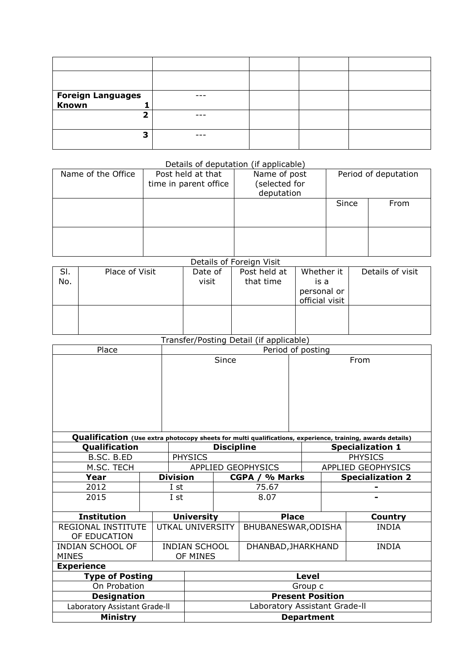| Foreign Languages<br>Known |  |  |
|----------------------------|--|--|
| ∍                          |  |  |
| 3                          |  |  |

## Details of deputation (if applicable)

| Name of the Office | Post held at that<br>time in parent office | Name of post<br>selected for)<br>deputation | Period of deputation |      |  |
|--------------------|--------------------------------------------|---------------------------------------------|----------------------|------|--|
|                    |                                            |                                             | Since                | From |  |
|                    |                                            |                                             |                      |      |  |

## Details of Foreign Visit

| <b>DUCTION</b> I OI CIGII VISIC |                |                  |                           |                                                     |                  |  |  |  |
|---------------------------------|----------------|------------------|---------------------------|-----------------------------------------------------|------------------|--|--|--|
| SI.<br>No.                      | Place of Visit | Date of<br>visit | Post held at<br>that time | Whether it<br>is a<br>personal or<br>official visit | Details of visit |  |  |  |
|                                 |                |                  |                           |                                                     |                  |  |  |  |

## Transfer/Posting Detail (if applicable)

| Place                                                                                                     |            |                 | Period of posting                 |                   |                     |                         |                           |                         |  |
|-----------------------------------------------------------------------------------------------------------|------------|-----------------|-----------------------------------|-------------------|---------------------|-------------------------|---------------------------|-------------------------|--|
|                                                                                                           |            |                 | Since                             |                   |                     | From                    |                           |                         |  |
|                                                                                                           |            |                 |                                   |                   |                     |                         |                           |                         |  |
|                                                                                                           |            |                 |                                   |                   |                     |                         |                           |                         |  |
|                                                                                                           |            |                 |                                   |                   |                     |                         |                           |                         |  |
|                                                                                                           |            |                 |                                   |                   |                     |                         |                           |                         |  |
|                                                                                                           |            |                 |                                   |                   |                     |                         |                           |                         |  |
|                                                                                                           |            |                 |                                   |                   |                     |                         |                           |                         |  |
| Qualification (Use extra photocopy sheets for multi qualifications, experience, training, awards details) |            |                 |                                   |                   |                     |                         |                           |                         |  |
| Qualification                                                                                             |            |                 |                                   | <b>Discipline</b> |                     |                         |                           | <b>Specialization 1</b> |  |
| B.SC. B.ED                                                                                                |            |                 | <b>PHYSICS</b>                    |                   |                     |                         | <b>PHYSICS</b>            |                         |  |
|                                                                                                           | M.SC. TECH |                 | <b>APPLIED GEOPHYSICS</b>         |                   |                     |                         | <b>APPLIED GEOPHYSICS</b> |                         |  |
| Year                                                                                                      |            | <b>Division</b> | CGPA / % Marks                    |                   |                     | <b>Specialization 2</b> |                           |                         |  |
| 2012                                                                                                      |            | I st            |                                   |                   | 75.67               |                         |                           |                         |  |
| 2015                                                                                                      |            | I st            |                                   |                   | 8.07                |                         |                           |                         |  |
|                                                                                                           |            |                 |                                   |                   |                     |                         |                           |                         |  |
| <b>Institution</b>                                                                                        |            |                 | <b>University</b><br><b>Place</b> |                   |                     |                         | Country                   |                         |  |
| <b>REGIONAL INSTITUTE</b>                                                                                 |            |                 | UTKAL UNIVERSITY                  |                   | BHUBANESWAR, ODISHA |                         |                           | <b>INDIA</b>            |  |
| OF EDUCATION                                                                                              |            |                 |                                   |                   |                     |                         |                           |                         |  |
| <b>INDIAN SCHOOL OF</b>                                                                                   |            |                 | <b>INDIAN SCHOOL</b>              |                   | DHANBAD, JHARKHAND  |                         |                           | <b>INDIA</b>            |  |
| <b>MINES</b>                                                                                              |            |                 | OF MINES                          |                   |                     |                         |                           |                         |  |
| <b>Experience</b>                                                                                         |            |                 |                                   |                   |                     |                         |                           |                         |  |
| <b>Type of Posting</b>                                                                                    |            |                 | Level                             |                   |                     |                         |                           |                         |  |
| On Probation                                                                                              |            |                 | Group c                           |                   |                     |                         |                           |                         |  |
| <b>Designation</b>                                                                                        |            |                 | <b>Present Position</b>           |                   |                     |                         |                           |                         |  |
| Laboratory Assistant Grade-II                                                                             |            |                 | Laboratory Assistant Grade-II     |                   |                     |                         |                           |                         |  |
| Ministry                                                                                                  |            |                 | Department                        |                   |                     |                         |                           |                         |  |